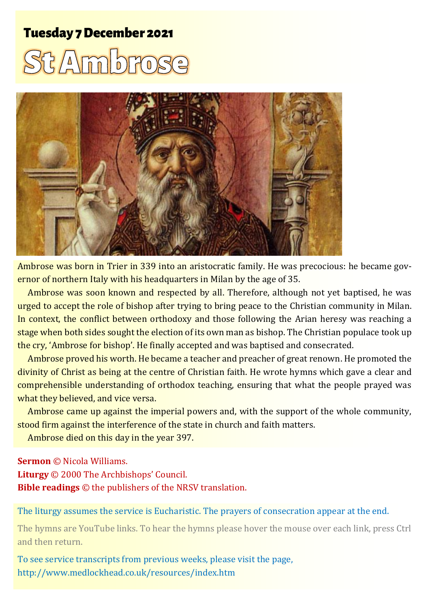# **Tuesday 7 December 2021**





Ambrose was born in Trier in 339 into an aristocratic family. He was precocious: he became governor of northern Italy with his headquarters in Milan by the age of 35.

Ambrose was soon known and respected by all. Therefore, although not yet baptised, he was urged to accept the role of bishop after trying to bring peace to the Christian community in Milan. In context, the conflict between orthodoxy and those following the Arian heresy was reaching a stage when both sides sought the election of its own man as bishop. The Christian populace took up the cry, 'Ambrose for bishop'. He finally accepted and was baptised and consecrated.

Ambrose proved his worth. He became a teacher and preacher of great renown. He promoted the divinity of Christ as being at the centre of Christian faith. He wrote hymns which gave a clear and comprehensible understanding of orthodox teaching, ensuring that what the people prayed was what they believed, and vice versa.

Ambrose came up against the imperial powers and, with the support of the whole community, stood firm against the interference of the state in church and faith matters.

Ambrose died on this day in the year 397.

**Sermon** © Nicola Williams. **Liturgy** © 2000 The Archbishops' Council. **Bible readings** © the publishers of the NRSV translation.

The liturgy assumes the service is Eucharistic. The prayers of consecration appear at the end.

The hymns are YouTube links. To hear the hymns please hover the mouse over each link, press Ctrl and then return.

To see service transcripts from previous weeks, please visit the page, <http://www.medlockhead.co.uk/resources/index.htm>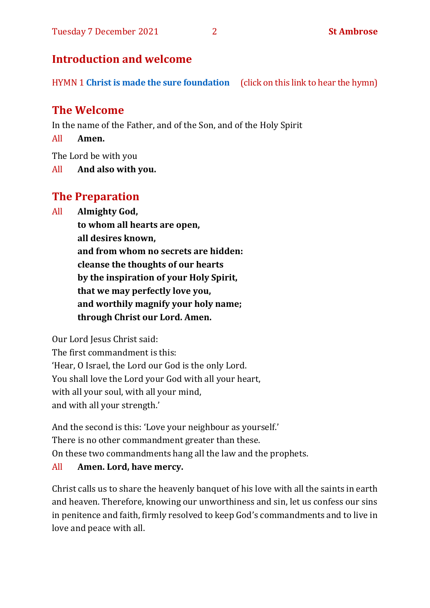## **Introduction and welcome**

HYMN 1 **[Christ is made the sure foundation](https://www.youtube.com/watch?v=5bC0tgG_blE)** (click on this link to hear the hymn)

## **The Welcome**

In the name of the Father, and of the Son, and of the Holy Spirit

All **Amen.**

The Lord be with you

All **And also with you.**

## **The Preparation**

All **Almighty God,**

**to whom all hearts are open, all desires known, and from whom no secrets are hidden: cleanse the thoughts of our hearts by the inspiration of your Holy Spirit, that we may perfectly love you, and worthily magnify your holy name; through Christ our Lord. Amen.**

Our Lord Jesus Christ said:

The first commandment is this: 'Hear, O Israel, the Lord our God is the only Lord. You shall love the Lord your God with all your heart, with all your soul, with all your mind, and with all your strength.'

And the second is this: 'Love your neighbour as yourself.' There is no other commandment greater than these. On these two commandments hang all the law and the prophets.

#### All **Amen. Lord, have mercy.**

Christ calls us to share the heavenly banquet of his love with all the saints in earth and heaven. Therefore, knowing our unworthiness and sin, let us confess our sins in penitence and faith, firmly resolved to keep God's commandments and to live in love and peace with all.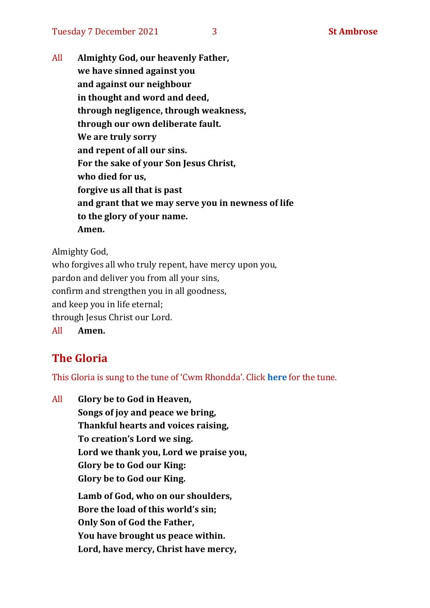All **Almighty God, our heavenly Father, we have sinned against you and against our neighbour in thought and word and deed, through negligence, through weakness, through our own deliberate fault. We are truly sorry and repent of all our sins. For the sake of your Son Jesus Christ, who died for us, forgive us all that is past and grant that we may serve you in newness of life to the glory of your name. Amen.**

Almighty God,

who forgives all who truly repent, have mercy upon you, pardon and deliver you from all your sins, confirm and strengthen you in all goodness, and keep you in life eternal; through Jesus Christ our Lord. All **Amen.**

## **The Gloria**

This Gloria is sung to the tune of 'Cwm Rhondda'. Click **[here](https://www.youtube.com/watch?v=l71MLQ22dIk)** for the tune.

All **Glory be to God in Heaven, Songs of joy and peace we bring, Thankful hearts and voices raising, To creation's Lord we sing. Lord we thank you, Lord we praise you, Glory be to God our King: Glory be to God our King. Lamb of God, who on our shoulders, Bore the load of this world's sin; Only Son of God the Father, You have brought us peace within. Lord, have mercy, Christ have mercy,**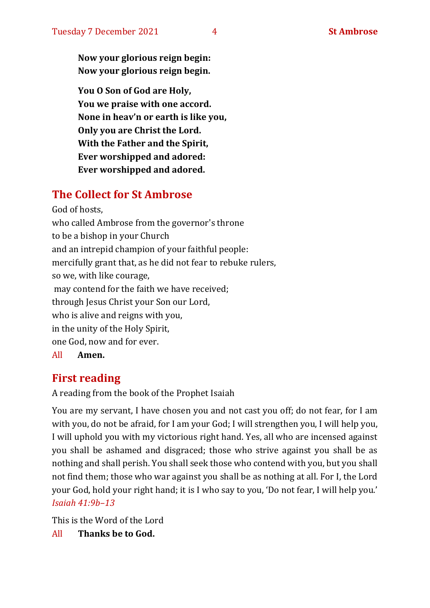**Now your glorious reign begin: Now your glorious reign begin.**

**You O Son of God are Holy, You we praise with one accord. None in heav'n or earth is like you, Only you are Christ the Lord. With the Father and the Spirit, Ever worshipped and adored: Ever worshipped and adored.**

## **The Collect for St Ambrose**

God of hosts, who called Ambrose from the governor's throne to be a bishop in your Church and an intrepid champion of your faithful people: mercifully grant that, as he did not fear to rebuke rulers, so we, with like courage, may contend for the faith we have received; through Jesus Christ your Son our Lord, who is alive and reigns with you, in the unity of the Holy Spirit, one God, now and for ever. All **Amen.**

## **First reading**

A reading from the book of the Prophet Isaiah

You are my servant, I have chosen you and not cast you off; do not fear, for I am with you, do not be afraid, for I am your God; I will strengthen you, I will help you, I will uphold you with my victorious right hand. Yes, all who are incensed against you shall be ashamed and disgraced; those who strive against you shall be as nothing and shall perish. You shall seek those who contend with you, but you shall not find them; those who war against you shall be as nothing at all. For I, the Lord your God, hold your right hand; it is I who say to you, 'Do not fear, I will help you.' *Isaiah 41:9b–13*

This is the Word of the Lord

All **Thanks be to God.**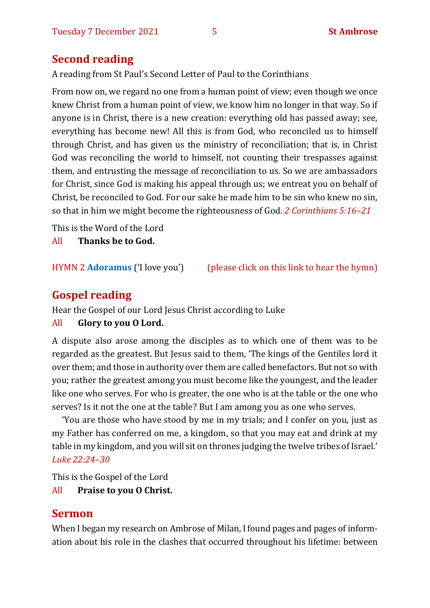## **Second reading**

A reading from St Paul's Second Letter of Paul to the Corinthians

From now on, we regard no one from a human point of view; even though we once knew Christ from a human point of view, we know him no longer in that way. So if anyone is in Christ, there is a new creation: everything old has passed away; see, everything has become new! All this is from God, who reconciled us to himself through Christ, and has given us the ministry of reconciliation; that is, in Christ God was reconciling the world to himself, not counting their trespasses against them, and entrusting the message of reconciliation to us. So we are ambassadors for Christ, since God is making his appeal through us; we entreat you on behalf of Christ, be reconciled to God. For our sake he made him to be sin who knew no sin, so that in him we might become the righteousness of God. *2 Corinthians 5:16–21*

This is the Word of the Lord

All **Thanks be to God.**

HYMN 2 **[Adoramus](https://www.youtube.com/watch?v=CxMoxNVMIXE)** ('I love you') (please click on this link to hear the hymn)

## **Gospel reading**

Hear the Gospel of our Lord Jesus Christ according to Luke

#### All **Glory to you O Lord.**

A dispute also arose among the disciples as to which one of them was to be regarded as the greatest. But Jesus said to them, 'The kings of the Gentiles lord it over them; and those in authority over them are called benefactors. But not so with you; rather the greatest among you must become like the youngest, and the leader like one who serves. For who is greater, the one who is at the table or the one who serves? Is it not the one at the table? But I am among you as one who serves.

'You are those who have stood by me in my trials; and I confer on you, just as my Father has conferred on me, a kingdom, so that you may eat and drink at my table in my kingdom, and you will sit on thrones judging the twelve tribes of Israel.' *Luke 22:24–30*

This is the Gospel of the Lord

#### All **Praise to you O Christ.**

## **Sermon**

When I began my research on Ambrose of Milan, I found pages and pages of information about his role in the clashes that occurred throughout his lifetime: between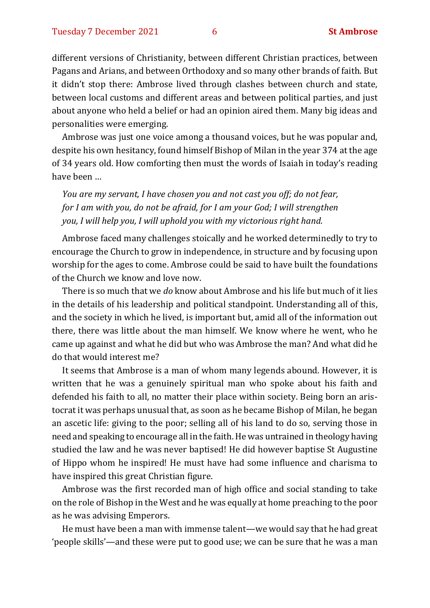different versions of Christianity, between different Christian practices, between Pagans and Arians, and between Orthodoxy and so many other brands of faith. But it didn't stop there: Ambrose lived through clashes between church and state, between local customs and different areas and between political parties, and just about anyone who held a belief or had an opinion aired them. Many big ideas and personalities were emerging.

Ambrose was just one voice among a thousand voices, but he was popular and, despite his own hesitancy, found himself Bishop of Milan in the year 374 at the age of 34 years old. How comforting then must the words of Isaiah in today's reading have been …

*You are my servant, I have chosen you and not cast you off; do not fear, for I am with you, do not be afraid, for I am your God; I will strengthen you, I will help you, I will uphold you with my victorious right hand.*

Ambrose faced many challenges stoically and he worked determinedly to try to encourage the Church to grow in independence, in structure and by focusing upon worship for the ages to come. Ambrose could be said to have built the foundations of the Church we know and love now.

There is so much that we *do* know about Ambrose and his life but much of it lies in the details of his leadership and political standpoint. Understanding all of this, and the society in which he lived, is important but, amid all of the information out there, there was little about the man himself. We know where he went, who he came up against and what he did but who was Ambrose the man? And what did he do that would interest me?

It seems that Ambrose is a man of whom many legends abound. However, it is written that he was a genuinely spiritual man who spoke about his faith and defended his faith to all, no matter their place within society. Being born an aristocrat it was perhaps unusual that, as soon as he became Bishop of Milan, he began an ascetic life: giving to the poor; selling all of his land to do so, serving those in need and speaking to encourage all in the faith. He was untrained in theology having studied the law and he was never baptised! He did however baptise St Augustine of Hippo whom he inspired! He must have had some influence and charisma to have inspired this great Christian figure.

Ambrose was the first recorded man of high office and social standing to take on the role of Bishop in the West and he was equally at home preaching to the poor as he was advising Emperors.

He must have been a man with immense talent—we would say that he had great 'people skills'—and these were put to good use; we can be sure that he was a man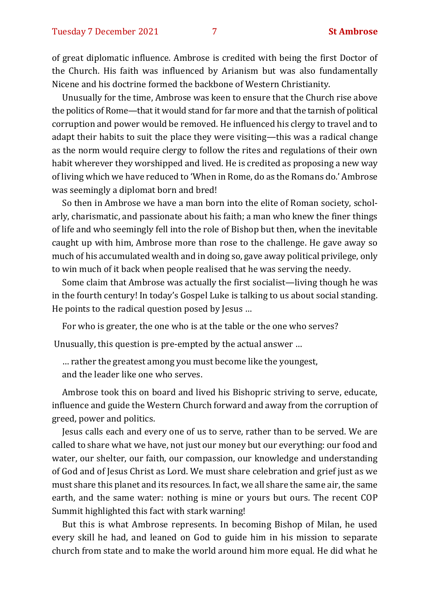of great diplomatic influence. Ambrose is credited with being the first Doctor of the Church. His faith was influenced by Arianism but was also fundamentally Nicene and his doctrine formed the backbone of Western Christianity.

Unusually for the time, Ambrose was keen to ensure that the Church rise above the politics of Rome—that it would stand for far more and that the tarnish of political corruption and power would be removed. He influenced his clergy to travel and to adapt their habits to suit the place they were visiting—this was a radical change as the norm would require clergy to follow the rites and regulations of their own habit wherever they worshipped and lived. He is credited as proposing a new way of living which we have reduced to 'When in Rome, do as the Romans do.' Ambrose was seemingly a diplomat born and bred!

So then in Ambrose we have a man born into the elite of Roman society, scholarly, charismatic, and passionate about his faith; a man who knew the finer things of life and who seemingly fell into the role of Bishop but then, when the inevitable caught up with him, Ambrose more than rose to the challenge. He gave away so much of his accumulated wealth and in doing so, gave away political privilege, only to win much of it back when people realised that he was serving the needy.

Some claim that Ambrose was actually the first socialist—living though he was in the fourth century! In today's Gospel Luke is talking to us about social standing. He points to the radical question posed by Jesus …

For who is greater, the one who is at the table or the one who serves?

Unusually, this question is pre-empted by the actual answer …

… rather the greatest among you must become like the youngest, and the leader like one who serves.

Ambrose took this on board and lived his Bishopric striving to serve, educate, influence and guide the Western Church forward and away from the corruption of greed, power and politics.

Jesus calls each and every one of us to serve, rather than to be served. We are called to share what we have, not just our money but our everything: our food and water, our shelter, our faith, our compassion, our knowledge and understanding of God and of Jesus Christ as Lord. We must share celebration and grief just as we must share this planet and its resources. In fact, we all share the same air, the same earth, and the same water: nothing is mine or yours but ours. The recent COP Summit highlighted this fact with stark warning!

But this is what Ambrose represents. In becoming Bishop of Milan, he used every skill he had, and leaned on God to guide him in his mission to separate church from state and to make the world around him more equal. He did what he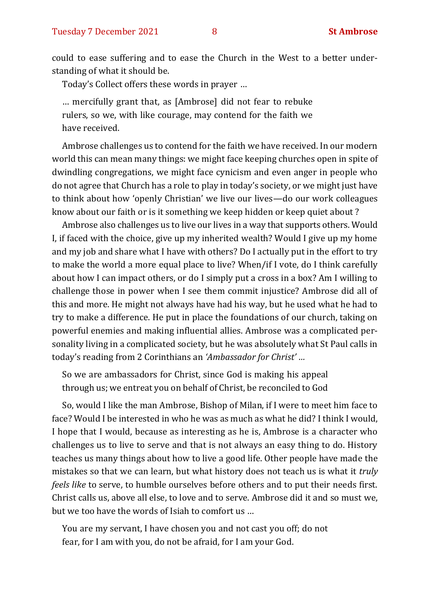could to ease suffering and to ease the Church in the West to a better understanding of what it should be.

Today's Collect offers these words in prayer …

… mercifully grant that, as [Ambrose] did not fear to rebuke rulers, so we, with like courage, may contend for the faith we have received.

Ambrose challenges us to contend for the faith we have received. In our modern world this can mean many things: we might face keeping churches open in spite of dwindling congregations, we might face cynicism and even anger in people who do not agree that Church has a role to play in today's society, or we might just have to think about how 'openly Christian' we live our lives—do our work colleagues know about our faith or is it something we keep hidden or keep quiet about ?

Ambrose also challenges us to live our lives in a way that supports others. Would I, if faced with the choice, give up my inherited wealth? Would I give up my home and my job and share what I have with others? Do I actually put in the effort to try to make the world a more equal place to live? When/if I vote, do I think carefully about how I can impact others, or do I simply put a cross in a box? Am I willing to challenge those in power when I see them commit injustice? Ambrose did all of this and more. He might not always have had his way, but he used what he had to try to make a difference. He put in place the foundations of our church, taking on powerful enemies and making influential allies. Ambrose was a complicated personality living in a complicated society, but he was absolutely what St Paul calls in today's reading from 2 Corinthians an *'Ambassador for Christ' …*

So we are ambassadors for Christ, since God is making his appeal through us; we entreat you on behalf of Christ, be reconciled to God

So, would I like the man Ambrose, Bishop of Milan, if I were to meet him face to face? Would I be interested in who he was as much as what he did? I think I would, I hope that I would, because as interesting as he is, Ambrose is a character who challenges us to live to serve and that is not always an easy thing to do. History teaches us many things about how to live a good life. Other people have made the mistakes so that we can learn, but what history does not teach us is what it *truly feels like* to serve, to humble ourselves before others and to put their needs first. Christ calls us, above all else, to love and to serve. Ambrose did it and so must we, but we too have the words of Isiah to comfort us …

You are my servant, I have chosen you and not cast you off; do not fear, for I am with you, do not be afraid, for I am your God.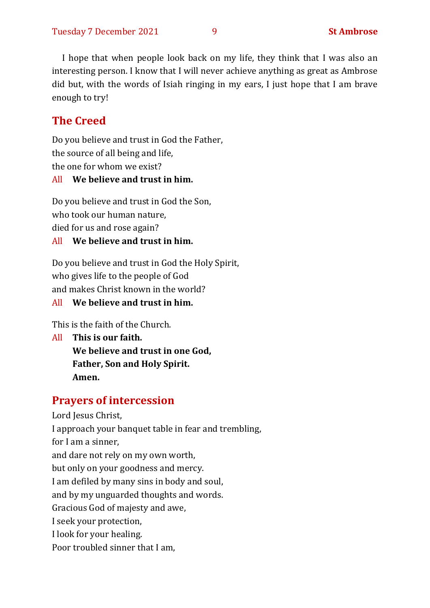I hope that when people look back on my life, they think that I was also an interesting person. I know that I will never achieve anything as great as Ambrose did but, with the words of Isiah ringing in my ears, I just hope that I am brave enough to try!

## **The Creed**

Do you believe and trust in God the Father, the source of all being and life, the one for whom we exist?

#### All **We believe and trust in him.**

Do you believe and trust in God the Son, who took our human nature, died for us and rose again?

#### All **We believe and trust in him.**

Do you believe and trust in God the Holy Spirit, who gives life to the people of God and makes Christ known in the world?

#### All **We believe and trust in him.**

This is the faith of the Church.

All **This is our faith. We believe and trust in one God, Father, Son and Holy Spirit. Amen.**

## **Prayers of intercession**

Lord Jesus Christ, I approach your banquet table in fear and trembling, for I am a sinner, and dare not rely on my own worth, but only on your goodness and mercy. I am defiled by many sins in body and soul, and by my unguarded thoughts and words. Gracious God of majesty and awe, I seek your protection, I look for your healing. Poor troubled sinner that I am,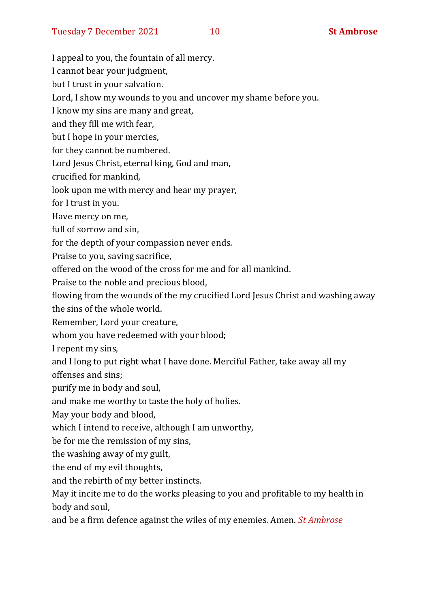I cannot bear your judgment,

but I trust in your salvation.

Lord, I show my wounds to you and uncover my shame before you.

I know my sins are many and great,

and they fill me with fear,

but I hope in your mercies,

for they cannot be numbered.

Lord Jesus Christ, eternal king, God and man,

crucified for mankind,

look upon me with mercy and hear my prayer,

for I trust in you.

Have mercy on me,

full of sorrow and sin,

for the depth of your compassion never ends.

Praise to you, saving sacrifice,

offered on the wood of the cross for me and for all mankind.

Praise to the noble and precious blood,

flowing from the wounds of the my crucified Lord Jesus Christ and washing away the sins of the whole world.

Remember, Lord your creature,

whom you have redeemed with your blood;

I repent my sins,

and I long to put right what I have done. Merciful Father, take away all my offenses and sins;

purify me in body and soul,

and make me worthy to taste the holy of holies.

May your body and blood,

which I intend to receive, although I am unworthy,

be for me the remission of my sins,

the washing away of my guilt,

the end of my evil thoughts,

and the rebirth of my better instincts.

May it incite me to do the works pleasing to you and profitable to my health in body and soul,

and be a firm defence against the wiles of my enemies. Amen. *St Ambrose*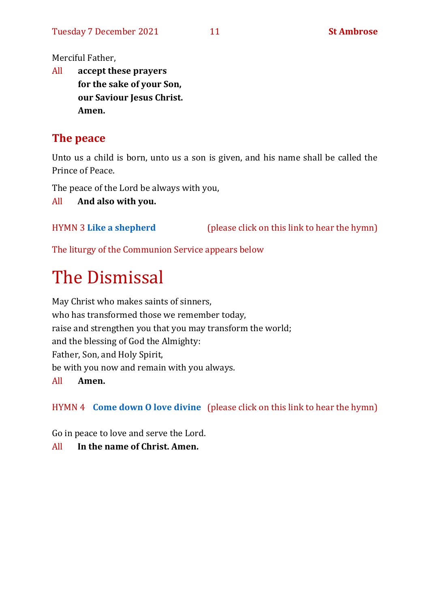Merciful Father,

All **accept these prayers for the sake of your Son, our Saviour Jesus Christ. Amen.**

## **The peace**

Unto us a child is born, unto us a son is given, and his name shall be called the Prince of Peace.

The peace of the Lord be always with you,

All **And also with you.**

HYMN 3 **[Like a shepherd](https://www.youtube.com/watch?v=jLaVLAWaD1Q)** (please click on this link to hear the hymn)

The liturgy of the Communion Service appears below

# The Dismissal

May Christ who makes saints of sinners, who has transformed those we remember today, raise and strengthen you that you may transform the world; and the blessing of God the Almighty: Father, Son, and Holy Spirit, be with you now and remain with you always. All **Amen.**

HYMN 4 **[Come down O love divine](https://www.youtube.com/watch?v=0S5pYyxwZVc)** (please click on this link to hear the hymn)

Go in peace to love and serve the Lord.

All **In the name of Christ. Amen.**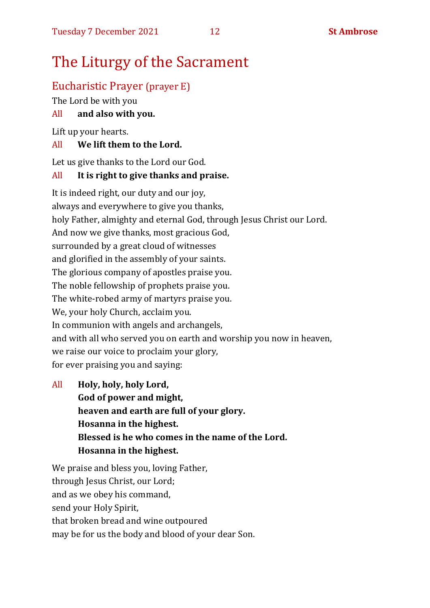# The Liturgy of the Sacrament

## Eucharistic Prayer (prayer E)

The Lord be with you

### All **and also with you.**

Lift up your hearts.

#### All **We lift them to the Lord.**

Let us give thanks to the Lord our God.

#### All **It is right to give thanks and praise.**

It is indeed right, our duty and our joy, always and everywhere to give you thanks, holy Father, almighty and eternal God, through Jesus Christ our Lord. And now we give thanks, most gracious God, surrounded by a great cloud of witnesses and glorified in the assembly of your saints. The glorious company of apostles praise you. The noble fellowship of prophets praise you. The white-robed army of martyrs praise you. We, your holy Church, acclaim you. In communion with angels and archangels, and with all who served you on earth and worship you now in heaven, we raise our voice to proclaim your glory, for ever praising you and saying:

All **Holy, holy, holy Lord, God of power and might, heaven and earth are full of your glory. Hosanna in the highest. Blessed is he who comes in the name of the Lord. Hosanna in the highest.**

We praise and bless you, loving Father, through Jesus Christ, our Lord; and as we obey his command, send your Holy Spirit, that broken bread and wine outpoured may be for us the body and blood of your dear Son.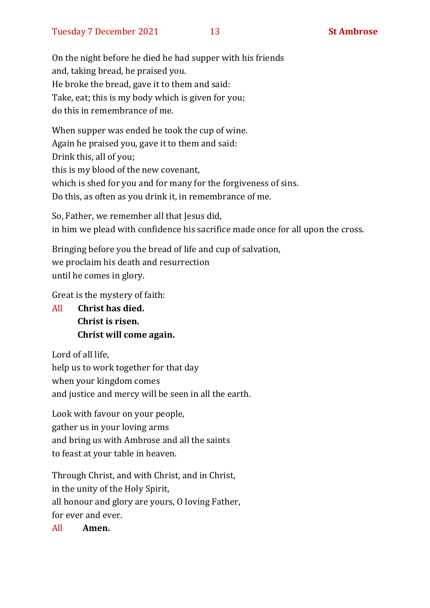On the night before he died he had supper with his friends and, taking bread, he praised you. He broke the bread, gave it to them and said: Take, eat; this is my body which is given for you; do this in remembrance of me.

When supper was ended he took the cup of wine. Again he praised you, gave it to them and said: Drink this, all of you; this is my blood of the new covenant, which is shed for you and for many for the forgiveness of sins. Do this, as often as you drink it, in remembrance of me.

So, Father, we remember all that Jesus did, in him we plead with confidence his sacrifice made once for all upon the cross.

Bringing before you the bread of life and cup of salvation, we proclaim his death and resurrection until he comes in glory.

Great is the mystery of faith:

All **Christ has died. Christ is risen. Christ will come again.**

Lord of all life, help us to work together for that day when your kingdom comes and justice and mercy will be seen in all the earth.

Look with favour on your people, gather us in your loving arms and bring us with Ambrose and all the saints to feast at your table in heaven.

Through Christ, and with Christ, and in Christ, in the unity of the Holy Spirit, all honour and glory are yours, O loving Father, for ever and ever.

All **Amen.**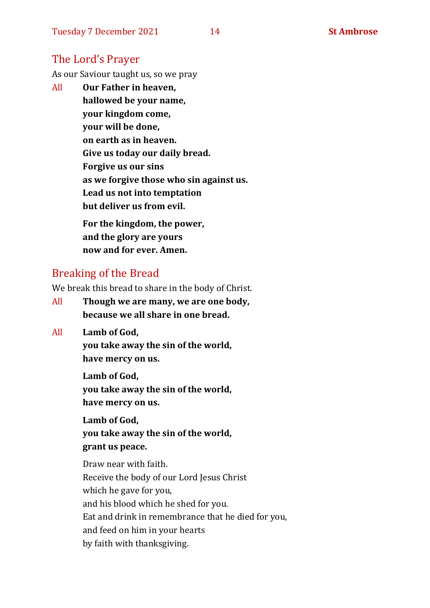### The Lord's Prayer

As our Saviour taught us, so we pray

All **Our Father in heaven, hallowed be your name, your kingdom come, your will be done, on earth as in heaven. Give us today our daily bread. Forgive us our sins as we forgive those who sin against us. Lead us not into temptation but deliver us from evil. For the kingdom, the power,** 

**and the glory are yours now and for ever. Amen.**

#### Breaking of the Bread

We break this bread to share in the body of Christ.

- All **Though we are many, we are one body, because we all share in one bread.**
- All **Lamb of God,**

**you take away the sin of the world, have mercy on us.**

**Lamb of God, you take away the sin of the world, have mercy on us.**

**Lamb of God, you take away the sin of the world, grant us peace.**

Draw near with faith. Receive the body of our Lord Jesus Christ which he gave for you, and his blood which he shed for you. Eat and drink in remembrance that he died for you, and feed on him in your hearts by faith with thanksgiving.